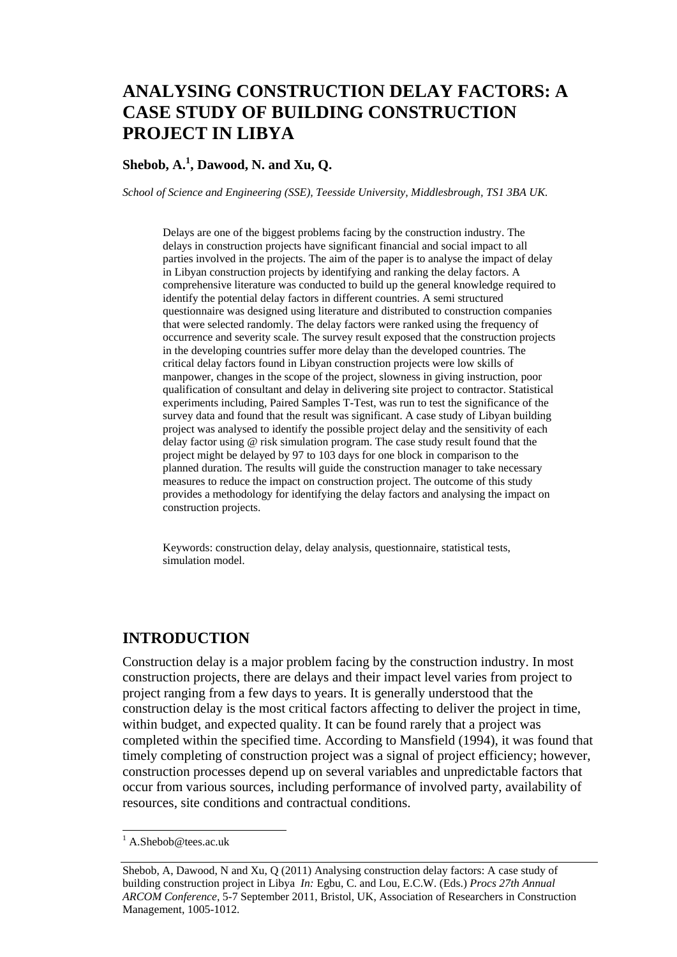# **ANALYSING CONSTRUCTION DELAY FACTORS: A CASE STUDY OF BUILDING CONSTRUCTION PROJECT IN LIBYA**

### **Shebob, A. 1 , Dawood, N. and Xu, Q.**

*School of Science and Engineering (SSE), Teesside University, Middlesbrough, TS1 3BA UK.*

Delays are one of the biggest problems facing by the construction industry. The delays in construction projects have significant financial and social impact to all parties involved in the projects. The aim of the paper is to analyse the impact of delay in Libyan construction projects by identifying and ranking the delay factors. A comprehensive literature was conducted to build up the general knowledge required to identify the potential delay factors in different countries. A semi structured questionnaire was designed using literature and distributed to construction companies that were selected randomly. The delay factors were ranked using the frequency of occurrence and severity scale. The survey result exposed that the construction projects in the developing countries suffer more delay than the developed countries. The critical delay factors found in Libyan construction projects were low skills of manpower, changes in the scope of the project, slowness in giving instruction, poor qualification of consultant and delay in delivering site project to contractor. Statistical experiments including, Paired Samples T-Test, was run to test the significance of the survey data and found that the result was significant. A case study of Libyan building project was analysed to identify the possible project delay and the sensitivity of each delay factor using @ risk simulation program. The case study result found that the project might be delayed by 97 to 103 days for one block in comparison to the planned duration. The results will guide the construction manager to take necessary measures to reduce the impact on construction project. The outcome of this study provides a methodology for identifying the delay factors and analysing the impact on construction projects.

Keywords: construction delay, delay analysis, questionnaire, statistical tests, simulation model.

#### **INTRODUCTION**

Construction delay is a major problem facing by the construction industry. In most construction projects, there are delays and their impact level varies from project to project ranging from a few days to years. It is generally understood that the construction delay is the most critical factors affecting to deliver the project in time, within budget, and expected quality. It can be found rarely that a project was completed within the specified time. According to Mansfield (1994), it was found that timely completing of construction project was a signal of project efficiency; however, construction processes depend up on several variables and unpredictable factors that occur from various sources, including performance of involved party, availability of resources, site conditions and contractual conditions.

 $\overline{a}$ 

 $<sup>1</sup>$  [A.Shebob@tees.ac.uk](mailto:A.Shebob@tees.ac.uk)</sup>

Shebob, A, Dawood, N and Xu, Q (2011) Analysing construction delay factors: A case study of building construction project in Libya *In:* Egbu, C. and Lou, E.C.W. (Eds.) *Procs 27th Annual ARCOM Conference,* 5-7 September 2011, Bristol, UK, Association of Researchers in Construction Management, 1005-1012.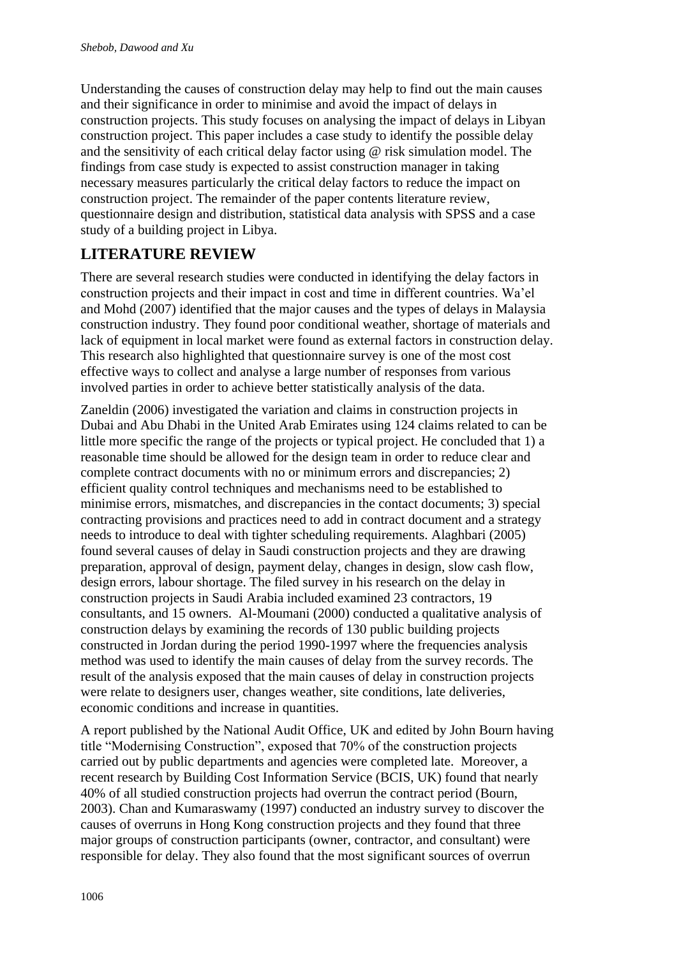Understanding the causes of construction delay may help to find out the main causes and their significance in order to minimise and avoid the impact of delays in construction projects. This study focuses on analysing the impact of delays in Libyan construction project. This paper includes a case study to identify the possible delay and the sensitivity of each critical delay factor using @ risk simulation model. The findings from case study is expected to assist construction manager in taking necessary measures particularly the critical delay factors to reduce the impact on construction project. The remainder of the paper contents literature review, questionnaire design and distribution, statistical data analysis with SPSS and a case study of a building project in Libya.

## **LITERATURE REVIEW**

There are several research studies were conducted in identifying the delay factors in construction projects and their impact in cost and time in different countries. Wa'el and Mohd (2007) identified that the major causes and the types of delays in Malaysia construction industry. They found poor conditional weather, shortage of materials and lack of equipment in local market were found as external factors in construction delay. This research also highlighted that questionnaire survey is one of the most cost effective ways to collect and analyse a large number of responses from various involved parties in order to achieve better statistically analysis of the data.

Zaneldin (2006) investigated the variation and claims in construction projects in Dubai and Abu Dhabi in the United Arab Emirates using 124 claims related to can be little more specific the range of the projects or typical project. He concluded that 1) a reasonable time should be allowed for the design team in order to reduce clear and complete contract documents with no or minimum errors and discrepancies; 2) efficient quality control techniques and mechanisms need to be established to minimise errors, mismatches, and discrepancies in the contact documents; 3) special contracting provisions and practices need to add in contract document and a strategy needs to introduce to deal with tighter scheduling requirements. Alaghbari (2005) found several causes of delay in Saudi construction projects and they are drawing preparation, approval of design, payment delay, changes in design, slow cash flow, design errors, labour shortage. The filed survey in his research on the delay in construction projects in Saudi Arabia included examined 23 contractors, 19 consultants, and 15 owners. Al-Moumani (2000) conducted a qualitative analysis of construction delays by examining the records of 130 public building projects constructed in Jordan during the period 1990-1997 where the frequencies analysis method was used to identify the main causes of delay from the survey records. The result of the analysis exposed that the main causes of delay in construction projects were relate to designers user, changes weather, site conditions, late deliveries, economic conditions and increase in quantities.

A report published by the National Audit Office, UK and edited by John Bourn having title "Modernising Construction", exposed that 70% of the construction projects carried out by public departments and agencies were completed late. Moreover, a recent research by Building Cost Information Service (BCIS, UK) found that nearly 40% of all studied construction projects had overrun the contract period (Bourn, 2003). Chan and Kumaraswamy (1997) conducted an industry survey to discover the causes of overruns in Hong Kong construction projects and they found that three major groups of construction participants (owner, contractor, and consultant) were responsible for delay. They also found that the most significant sources of overrun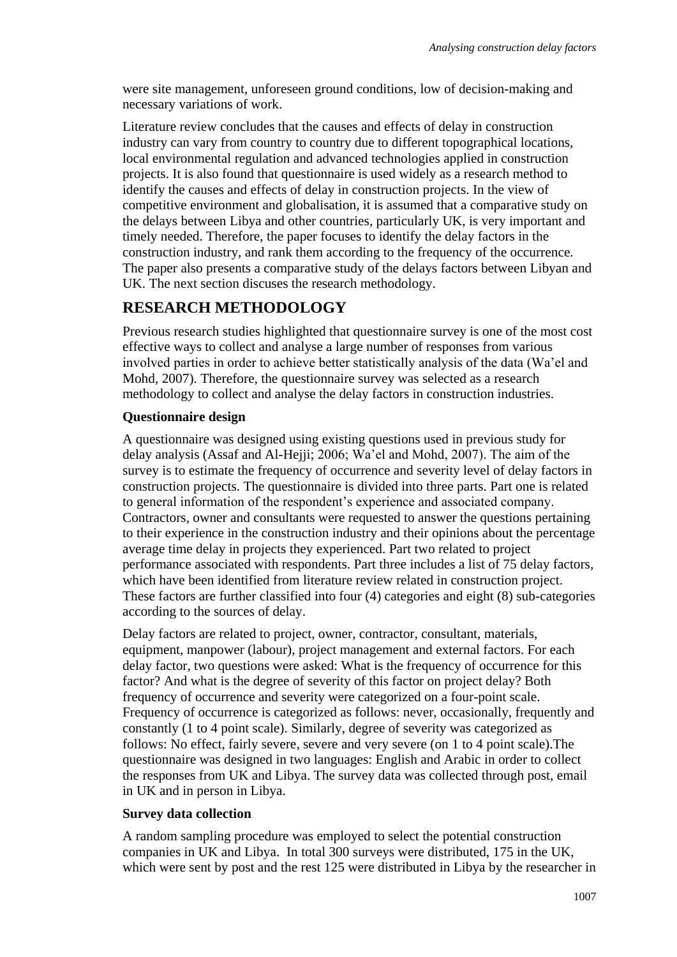were site management, unforeseen ground conditions, low of decision-making and necessary variations of work.

Literature review concludes that the causes and effects of delay in construction industry can vary from country to country due to different topographical locations, local environmental regulation and advanced technologies applied in construction projects. It is also found that questionnaire is used widely as a research method to identify the causes and effects of delay in construction projects. In the view of competitive environment and globalisation, it is assumed that a comparative study on the delays between Libya and other countries, particularly UK, is very important and timely needed. Therefore, the paper focuses to identify the delay factors in the construction industry, and rank them according to the frequency of the occurrence. The paper also presents a comparative study of the delays factors between Libyan and UK. The next section discuses the research methodology.

### **RESEARCH METHODOLOGY**

Previous research studies highlighted that questionnaire survey is one of the most cost effective ways to collect and analyse a large number of responses from various involved parties in order to achieve better statistically analysis of the data (Wa'el and Mohd, 2007). Therefore, the questionnaire survey was selected as a research methodology to collect and analyse the delay factors in construction industries.

#### **Questionnaire design**

A questionnaire was designed using existing questions used in previous study for delay analysis (Assaf and Al-Hejji; 2006; Wa'el and Mohd, 2007). The aim of the survey is to estimate the frequency of occurrence and severity level of delay factors in construction projects. The questionnaire is divided into three parts. Part one is related to general information of the respondent's experience and associated company. Contractors, owner and consultants were requested to answer the questions pertaining to their experience in the construction industry and their opinions about the percentage average time delay in projects they experienced. Part two related to project performance associated with respondents. Part three includes a list of 75 delay factors, which have been identified from literature review related in construction project. These factors are further classified into four (4) categories and eight (8) sub-categories according to the sources of delay.

Delay factors are related to project, owner, contractor, consultant, materials, equipment, manpower (labour), project management and external factors. For each delay factor, two questions were asked: What is the frequency of occurrence for this factor? And what is the degree of severity of this factor on project delay? Both frequency of occurrence and severity were categorized on a four-point scale. Frequency of occurrence is categorized as follows: never, occasionally, frequently and constantly (1 to 4 point scale). Similarly, degree of severity was categorized as follows: No effect, fairly severe, severe and very severe (on 1 to 4 point scale).The questionnaire was designed in two languages: English and Arabic in order to collect the responses from UK and Libya. The survey data was collected through post, email in UK and in person in Libya.

#### **Survey data collection**

A random sampling procedure was employed to select the potential construction companies in UK and Libya. In total 300 surveys were distributed, 175 in the UK, which were sent by post and the rest 125 were distributed in Libya by the researcher in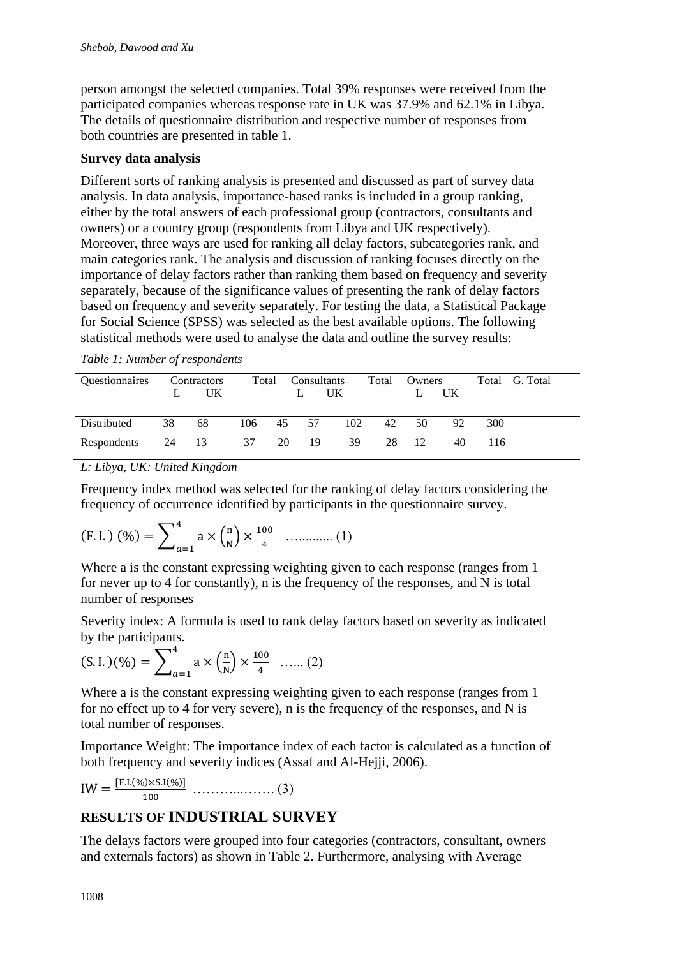person amongst the selected companies. Total 39% responses were received from the participated companies whereas response rate in UK was 37.9% and 62.1% in Libya. The details of questionnaire distribution and respective number of responses from both countries are presented in table 1.

### **Survey data analysis**

Different sorts of ranking analysis is presented and discussed as part of survey data analysis. In data analysis, importance-based ranks is included in a group ranking, either by the total answers of each professional group (contractors, consultants and owners) or a country group (respondents from Libya and UK respectively). Moreover, three ways are used for ranking all delay factors, subcategories rank, and main categories rank. The analysis and discussion of ranking focuses directly on the importance of delay factors rather than ranking them based on frequency and severity separately, because of the significance values of presenting the rank of delay factors based on frequency and severity separately. For testing the data, a Statistical Package for Social Science (SPSS) was selected as the best available options. The following statistical methods were used to analyse the data and outline the survey results:

|  |  |  |  | Table 1: Number of respondents |
|--|--|--|--|--------------------------------|
|--|--|--|--|--------------------------------|

| <i><b>Ouestionnaires</b></i> |       | Contractors<br>UK. | Total  | Consultants | UK. | Total | Owners | UK |     | Total G. Total |
|------------------------------|-------|--------------------|--------|-------------|-----|-------|--------|----|-----|----------------|
| Distributed                  | 38    | 68                 | 106 45 | 57          | 102 | 42    | 50     | 92 | 300 |                |
| Respondents                  | 24 13 |                    | 37     | 20 19       | 39  | 28    | 12     | 40 | 116 |                |

*L: Libya, UK: United Kingdom* 

Frequency index method was selected for the ranking of delay factors considering the frequency of occurrence identified by participants in the questionnaire survey.

(F.I.) 
$$
(\%) = \sum_{a=1}^{4} a \times \left(\frac{n}{N}\right) \times \frac{100}{4}
$$
 ......... (1)

Where a is the constant expressing weighting given to each response (ranges from 1 for never up to 4 for constantly), n is the frequency of the responses, and N is total number of responses

Severity index: A formula is used to rank delay factors based on severity as indicated by the participants.

$$
(S. I.)(\%) = \sum_{a=1}^{4} a \times \left(\frac{n}{N}\right) \times \frac{100}{4} \quad \dots (2)
$$

Where a is the constant expressing weighting given to each response (ranges from 1) for no effect up to 4 for very severe), n is the frequency of the responses, and N is total number of responses.

Importance Weight: The importance index of each factor is calculated as a function of both frequency and severity indices (Assaf and Al-Hejji, 2006).

$$
IW = \frac{[F.I.(\%) \times S.I(\%)]}{100} \dots \dots \dots \dots \dots \dots \dots \dots (3)
$$

## **RESULTS OF INDUSTRIAL SURVEY**

The delays factors were grouped into four categories (contractors, consultant, owners and externals factors) as shown in Table 2. Furthermore, analysing with Average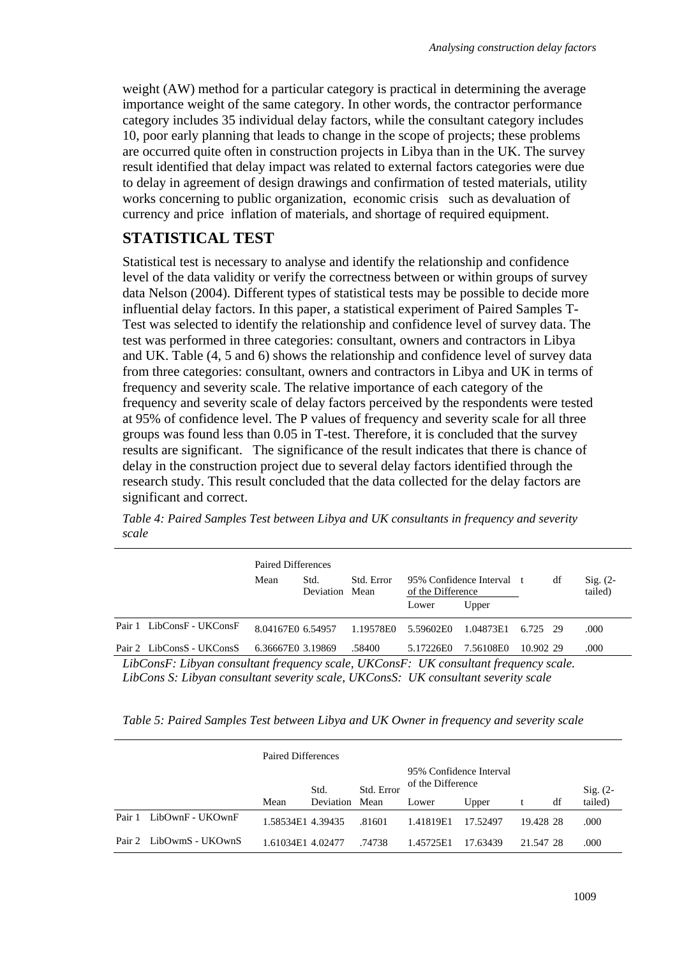weight (AW) method for a particular category is practical in determining the average importance weight of the same category. In other words, the contractor performance category includes 35 individual delay factors, while the consultant category includes 10, poor early planning that leads to change in the scope of projects; these problems are occurred quite often in construction projects in Libya than in the UK. The survey result identified that delay impact was related to external factors categories were due to delay in agreement of design drawings and confirmation of tested materials, utility works concerning to public organization, economic crisis such as devaluation of currency and price inflation of materials, and shortage of required equipment.

## **STATISTICAL TEST**

Statistical test is necessary to analyse and identify the relationship and confidence level of the data validity or verify the correctness between or within groups of survey data Nelson (2004). Different types of statistical tests may be possible to decide more influential delay factors. In this paper, a statistical experiment of Paired Samples T-Test was selected to identify the relationship and confidence level of survey data. The test was performed in three categories: consultant, owners and contractors in Libya and UK. Table (4, 5 and 6) shows the relationship and confidence level of survey data from three categories: consultant, owners and contractors in Libya and UK in terms of frequency and severity scale. The relative importance of each category of the frequency and severity scale of delay factors perceived by the respondents were tested at 95% of confidence level. The P values of frequency and severity scale for all three groups was found less than 0.05 in T-test. Therefore, it is concluded that the survey results are significant. The significance of the result indicates that there is chance of delay in the construction project due to several delay factors identified through the research study. This result concluded that the data collected for the delay factors are significant and correct.

*Table 4: Paired Samples Test between Libya and UK consultants in frequency and severity scale*

|                                                                                              | Paired Differences |                                      |           |                                                |           |           |    |                                |  |  |
|----------------------------------------------------------------------------------------------|--------------------|--------------------------------------|-----------|------------------------------------------------|-----------|-----------|----|--------------------------------|--|--|
|                                                                                              | Mean               | Std. Error<br>Std.<br>Deviation Mean |           | 95% Confidence Interval t<br>of the Difference |           |           | df | $\mathrm{Sig.}$ (2-<br>tailed) |  |  |
|                                                                                              |                    |                                      |           | Lower                                          | Upper     |           |    |                                |  |  |
| Pair 1 LibConsF - UKConsF                                                                    | 8.04167E0 6.54957  |                                      | 1.19578E0 | 5.59602E0                                      | 1.04873E1 | 6.725 29  |    | .000                           |  |  |
| Pair 2 LibConsS - UKConsS                                                                    | 6.36667E0 3.19869  |                                      | .58400    | 5.17226E0                                      | 7.56108E0 | 10.902 29 |    | .000                           |  |  |
| $I$ ibConsF: Libyan consultant frequency scale $I/KConsF$ : $I/K$ consultant frequency scale |                    |                                      |           |                                                |           |           |    |                                |  |  |

*LibConsF: Libyan consultant frequency scale, UKConsF: UK consultant frequency scale. LibCons S: Libyan consultant severity scale, UKConsS: UK consultant severity scale*

*Table 5: Paired Samples Test between Libya and UK Owner in frequency and severity scale* 

|        |                         | Paired Differences |                |            |                                              |          |           |    |            |
|--------|-------------------------|--------------------|----------------|------------|----------------------------------------------|----------|-----------|----|------------|
|        |                         |                    | Std.           | Std. Error | 95% Confidence Interval<br>of the Difference |          |           |    | $Sig. (2-$ |
|        |                         | Mean               | Deviation Mean |            | Lower                                        | Upper    |           | df | tailed)    |
| Pair 1 | LibOwnF - UKOwnF        | 1.58534E1 4.39435  |                | .81601     | 1.41819E1                                    | 17.52497 | 19.428 28 |    | .000       |
|        | Pair 2 LibOwmS - UKOwnS | 1.61034E1 4.02477  |                | .74738     | 1.45725E1                                    | 17.63439 | 21.547.28 |    | .000       |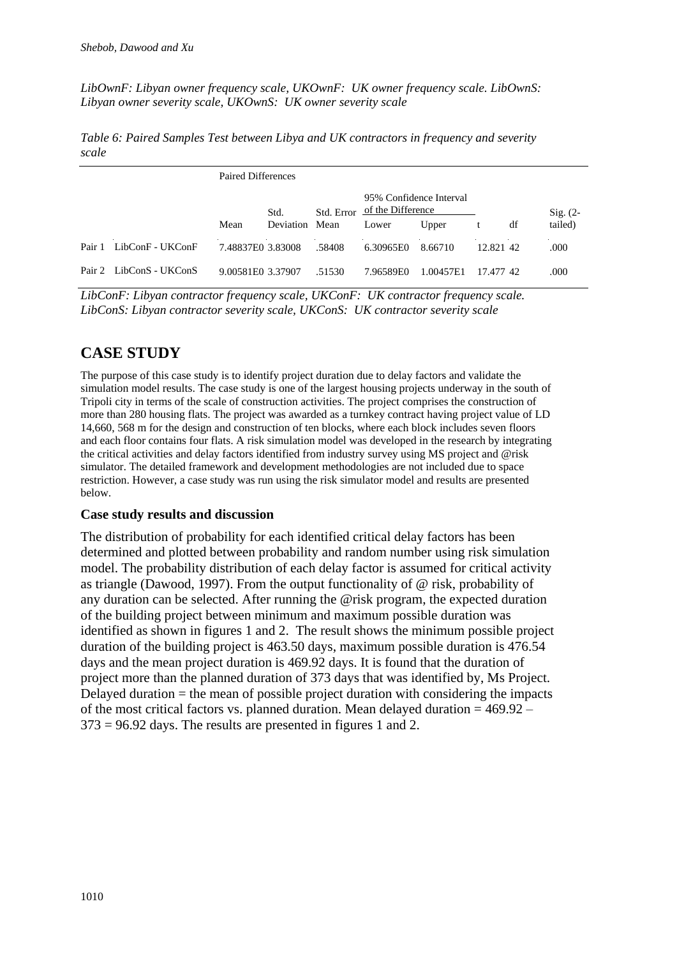*LibOwnF: Libyan owner frequency scale, UKOwnF: UK owner frequency scale. LibOwnS: Libyan owner severity scale, UKOwnS: UK owner severity scale*

*Table 6: Paired Samples Test between Libya and UK contractors in frequency and severity scale*

|        |                         | Paired Differences |                |                                                            |           |           |           |  |            |  |  |
|--------|-------------------------|--------------------|----------------|------------------------------------------------------------|-----------|-----------|-----------|--|------------|--|--|
|        |                         | Std.               |                | 95% Confidence Interval<br>of the Difference<br>Std. Error |           |           |           |  | $Sig. (2-$ |  |  |
|        |                         | Mean               | Deviation Mean |                                                            | Lower     | Upper     | df<br>t   |  | tailed)    |  |  |
| Pair 1 | LibConF - UKConF        | 7.48837E0 3.83008  |                | .58408                                                     | 6.30965E0 | 8.66710   | 12.821 42 |  | .000       |  |  |
|        | Pair 2 LibConS - UKConS | 9.00581E0 3.37907  |                | .51530                                                     | 7.96589E0 | 1.00457E1 | 17.477.42 |  | .000       |  |  |

*LibConF: Libyan contractor frequency scale, UKConF: UK contractor frequency scale. LibConS: Libyan contractor severity scale, UKConS: UK contractor severity scale*

## **CASE STUDY**

The purpose of this case study is to identify project duration due to delay factors and validate the simulation model results. The case study is one of the largest housing projects underway in the south of Tripoli city in terms of the scale of construction activities. The project comprises the construction of more than 280 housing flats. The project was awarded as a turnkey contract having project value of LD 14,660, 568 m for the design and construction of ten blocks, where each block includes seven floors and each floor contains four flats. A risk simulation model was developed in the research by integrating the critical activities and delay factors identified from industry survey using MS project and @risk simulator. The detailed framework and development methodologies are not included due to space restriction. However, a case study was run using the risk simulator model and results are presented below.

#### **Case study results and discussion**

The distribution of probability for each identified critical delay factors has been determined and plotted between probability and random number using risk simulation model. The probability distribution of each delay factor is assumed for critical activity as triangle (Dawood, 1997). From the output functionality of @ risk, probability of any duration can be selected. After running the @risk program, the expected duration of the building project between minimum and maximum possible duration was identified as shown in figures 1 and 2. The result shows the minimum possible project duration of the building project is 463.50 days, maximum possible duration is 476.54 days and the mean project duration is 469.92 days. It is found that the duration of project more than the planned duration of 373 days that was identified by, Ms Project. Delayed duration = the mean of possible project duration with considering the impacts of the most critical factors vs. planned duration. Mean delayed duration = 469.92 –  $373 = 96.92$  days. The results are presented in figures 1 and 2.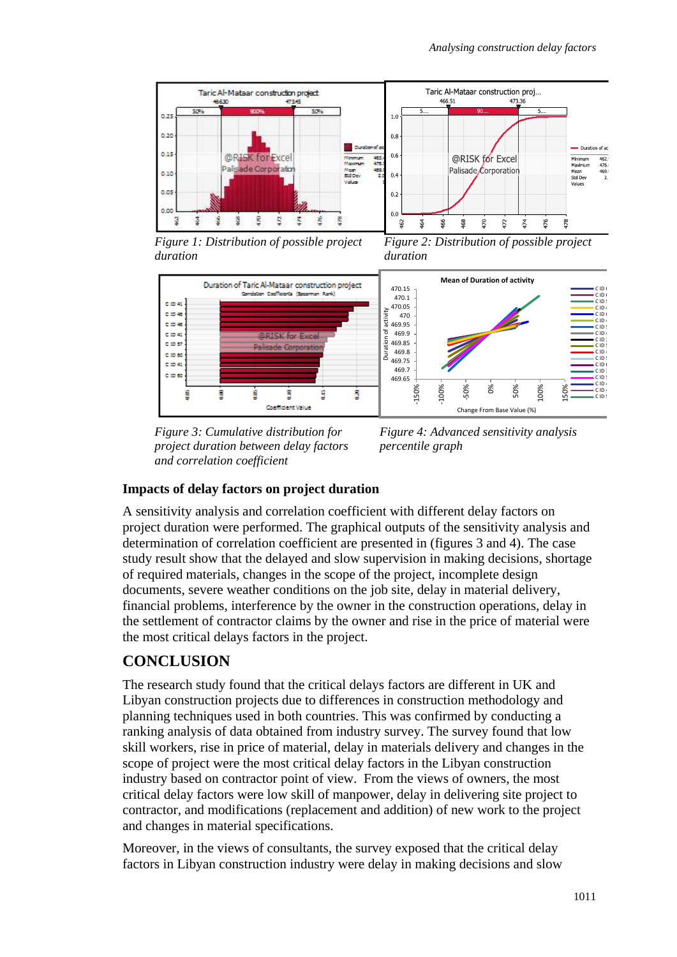

*Figure 1: Distribution of possible project duration*

*Figure 2: Distribution of possible project duration*



*Figure 3: Cumulative distribution for project duration between delay factors and correlation coefficient*

*Figure 4: Advanced sensitivity analysis percentile graph*

#### **Impacts of delay factors on project duration**

A sensitivity analysis and correlation coefficient with different delay factors on project duration were performed. The graphical outputs of the sensitivity analysis and determination of correlation coefficient are presented in (figures 3 and 4). The case study result show that the delayed and slow supervision in making decisions, shortage of required materials, changes in the scope of the project, incomplete design documents, severe weather conditions on the job site, delay in material delivery, financial problems, interference by the owner in the construction operations, delay in the settlement of contractor claims by the owner and rise in the price of material were the most critical delays factors in the project.

# **CONCLUSION**

The research study found that the critical delays factors are different in UK and Libyan construction projects due to differences in construction methodology and planning techniques used in both countries. This was confirmed by conducting a ranking analysis of data obtained from industry survey. The survey found that low skill workers, rise in price of material, delay in materials delivery and changes in the scope of project were the most critical delay factors in the Libyan construction industry based on contractor point of view. From the views of owners, the most critical delay factors were low skill of manpower, delay in delivering site project to contractor, and modifications (replacement and addition) of new work to the project and changes in material specifications.

Moreover, in the views of consultants, the survey exposed that the critical delay factors in Libyan construction industry were delay in making decisions and slow